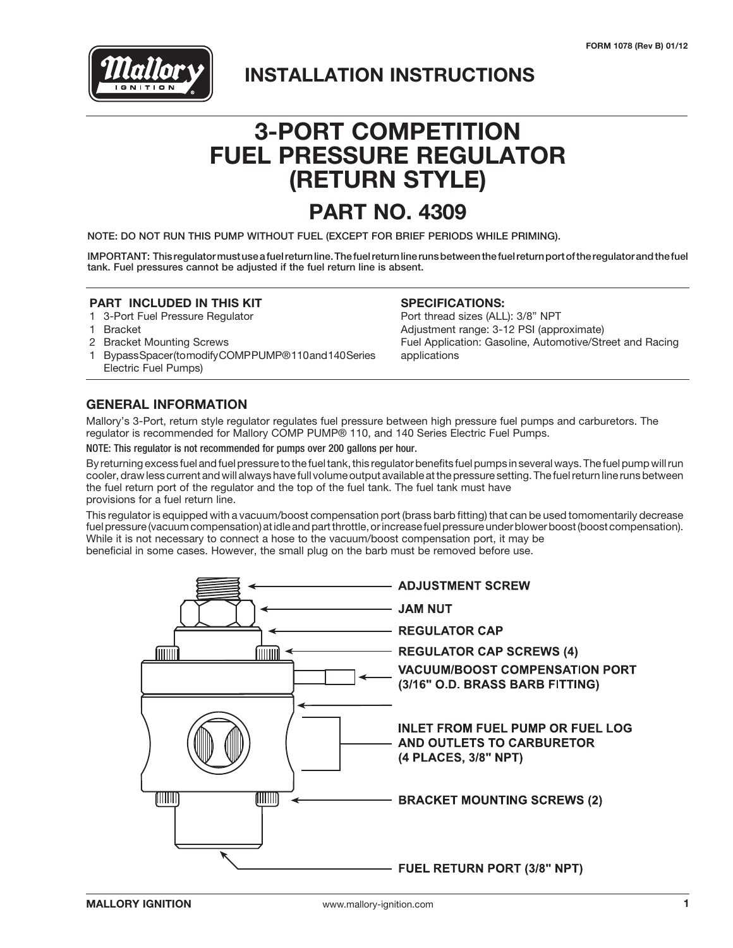

# **INSTALLATION INSTRUCTIONS**

# **3-PORT COMPETITION FUEL PRESSURE REGULATOR (RETURN STYLE)**

# **PART NO. 4309**

NOTE: DO NOT RUN THIS PUMP WITHOUT FUEL (EXCEPT FOR BRIEF PERIODS WHILE PRIMING).

IMPORTANT: This regulator must use a fuel return line. The fuel return line runs between the fuel return port of the regulator and the fuel tank. Fuel pressures cannot be adjusted if the fuel return line is absent.

### **PART INCLUDED IN THIS KIT**

- 1 3-Port Fuel Pressure Regulator
- 1 Bracket
- 2 Bracket Mounting Screws
- 1 Bypass Spacer (to modify COMP PUMP® 110 and 140 Series Electric Fuel Pumps)

#### **SPECIFICATIONS:**

Port thread sizes (ALL): 3/8" NPT Adjustment range: 3-12 PSI (approximate) Fuel Application: Gasoline, Automotive/Street and Racing applications

### **GENERAL INFORMATION**

Mallory's 3-Port, return style regulator regulates fuel pressure between high pressure fuel pumps and carburetors. The regulator is recommended for Mallory COMP PUMP® 110, and 140 Series Electric Fuel Pumps.

NOTE: This regulator is not recommended for pumps over 200 gallons per hour.

By returning excess fuel and fuel pressure to the fuel tank, this regulator benefits fuel pumps in several ways. The fuel pump will run cooler, draw less current and will always have full volume output available at the pressure setting. The fuel return line runs between the fuel return port of the regulator and the top of the fuel tank. The fuel tank must have provisions for a fuel return line.

This regulator is equipped with a vacuum/boost compensation port (brass barb fitting) that can be used tomomentarily decrease fuel pressure (vacuum compensation) at idle and part throttle, or increase fuel pressure under blower boost (boost compensation). While it is not necessary to connect a hose to the vacuum/boost compensation port, it may be beneficial in some cases. However, the small plug on the barb must be removed before use.

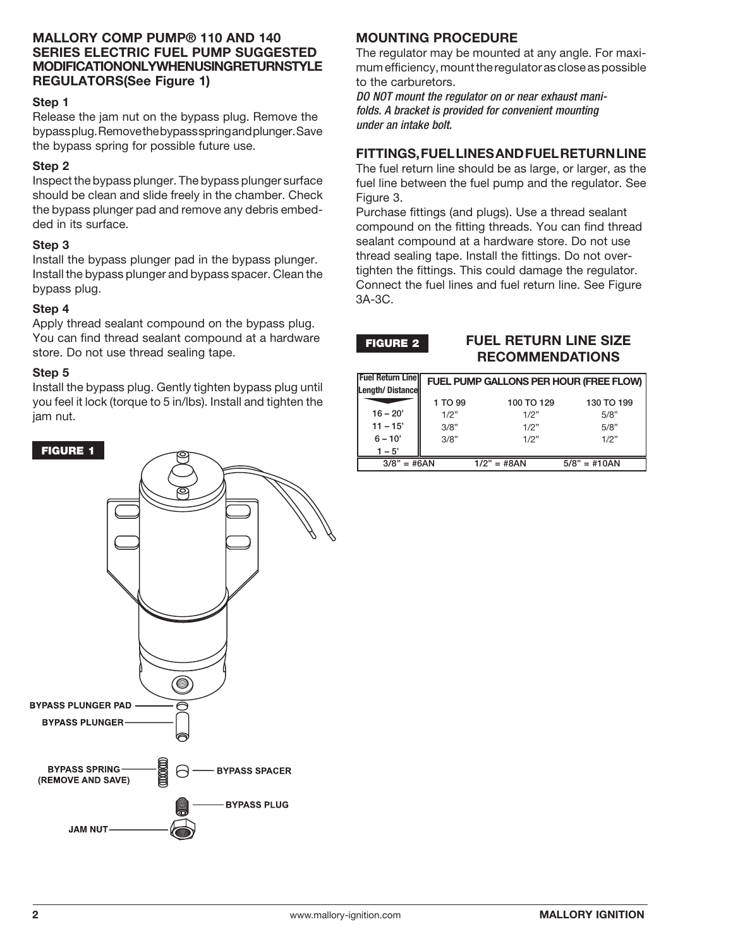### **MALLORY COMP PUMP® 110 AND 140 SERIES ELECTRIC FUEL PUMP SUGGESTED MODIFICATION ONLY WHEN USING RETURN STYLE REGULATORS(See Figure 1)**

### **Step 1**

Release the jam nut on the bypass plug. Remove the bypass plug. Remove the bypass spring and plunger. Save the bypass spring for possible future use.

### **Step 2**

Inspect the bypass plunger. The bypass plunger surface should be clean and slide freely in the chamber. Check the bypass plunger pad and remove any debris embedded in its surface.

### **Step 3**

Install the bypass plunger pad in the bypass plunger. Install the bypass plunger and bypass spacer. Clean the bypass plug.

### **Step 4**

Apply thread sealant compound on the bypass plug. You can find thread sealant compound at a hardware store. Do not use thread sealing tape.

### **Step 5**

Install the bypass plug. Gently tighten bypass plug until you feel it lock (torque to 5 in/lbs). Install and tighten the jam nut.

### FIGURE 1



### **MOUNTING PROCEDURE**

The regulator may be mounted at any angle. For maximum efficiency, mount the regulator as close as possible to the carburetors.

*DO NOT mount the regulator on or near exhaust manifolds. A bracket is provided for convenient mounting under an intake bolt.*

### **FITTINGS, FUEL LINES AND FUEL RETURN LINE**

The fuel return line should be as large, or larger, as the fuel line between the fuel pump and the regulator. See Figure 3.

Purchase fittings (and plugs). Use a thread sealant compound on the fitting threads. You can find thread sealant compound at a hardware store. Do not use thread sealing tape. Install the fittings. Do not overtighten the fittings. This could damage the regulator. Connect the fuel lines and fuel return line. See Figure 3A-3C.

FIGURE 2

### **FUEL RETURN LINE SIZE RECOMMENDATIONS**

| lFuel Return Linell<br>Length/Distancell | FUEL PUMP GALLONS PER HOUR (FREE FLOW) |               |                |
|------------------------------------------|----------------------------------------|---------------|----------------|
|                                          | 1 TO 99                                | 100 TO 129    | 130 TO 199     |
| $16 - 20'$                               | 1/2"                                   | 1/2"          | 5/8"           |
| $11 - 15'$                               | 3/8"                                   | 1/2"          | 5/8"           |
| $6 - 10'$                                | 3/8"                                   | 1/2"          | 1/2"           |
| $1 - 5'$                                 |                                        |               |                |
| $3/8" = #6AN$                            |                                        | $1/2" = #8AN$ | $5/8" = #10AN$ |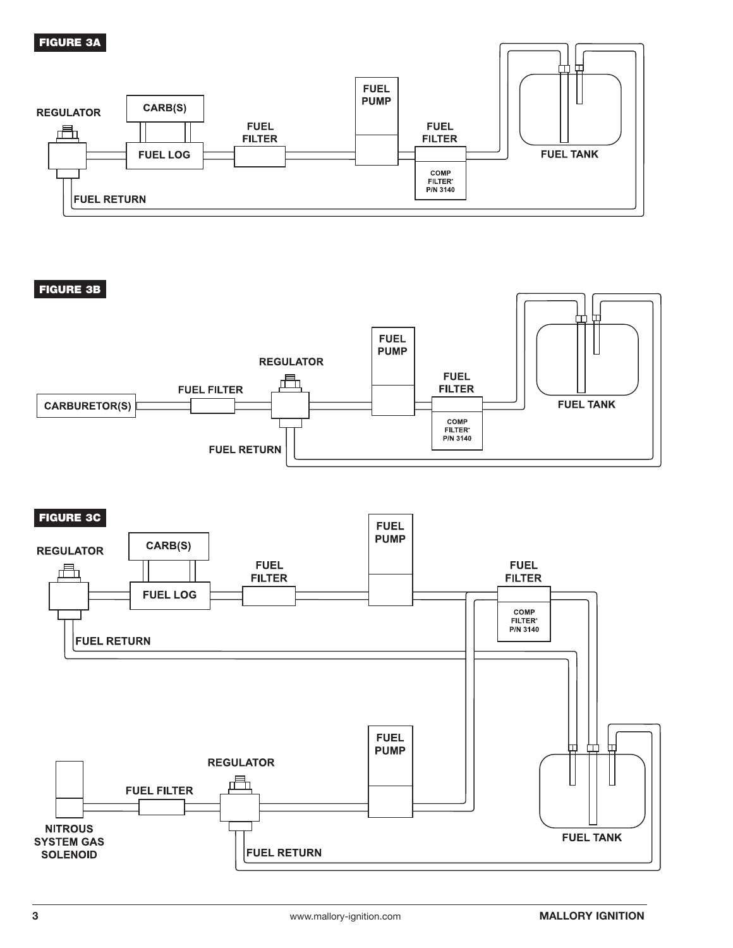#### FIGURE 3A **FUEL PUMP** CARB(S) **REGULATOR FUEL FUEL FILTER FILTER FUEL TANK FUEL LOG** COMP<br>FILTER<sup>®</sup> P/N 3140 **FUEL RETURN**

FIGURE 3B